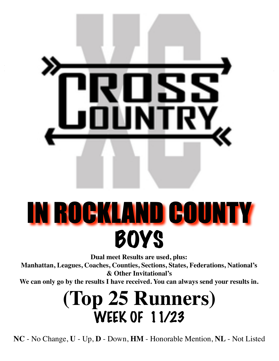

# IN ROCKLAND COUNTY **BOYS**

**Dual meet Results are used, plus:**

**Manhattan, Leagues, Coaches, Counties, Sections, States, Federations, National's & Other Invitational's**

**We can only go by the results I have received. You can always send your results in.**

### **(Top 25 Runners)** WEEK OF 11/23

**NC** - No Change, **U** - Up, **D** - Down, **HM** - Honorable Mention, **NL** - Not Listed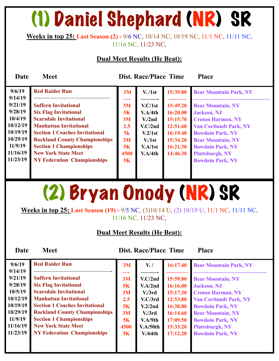### (1) Daniel Shephard (NR) SR

#### **Weeks in top 25: Last Season (2) -** 9/6 NC, 10/14 NC, 10/19 NC, 11/1 NC, 11/11 NC, 11/16 NC, 11/23 NC,

#### **Dual Meet Results (He Beat):**

**Date Meet Dist. Race/Place Time Place** 

| 9/6/19   | <b>Red Raider Run</b>                 | 3M   | V. / 1st            | 15:39.80 | <b>Bear Mountain Park, NY</b> |
|----------|---------------------------------------|------|---------------------|----------|-------------------------------|
| 9/14/19  |                                       |      |                     |          |                               |
| 9/21/19  | <b>Suffern Invitational</b>           | 3M   | V.C/1st             | 15:49.20 | <b>Bear Mountain, NY</b>      |
| 9/28/19  | <b>Six Flag Invitational</b>          | 5K   | V.A/4th             | 16:20.00 | <b>Jackson</b> , NJ           |
| 10/4/19  | <b>Scarsdale Invitational</b>         | 3M   | V <sub>1</sub> /2nd | 15:15.70 | <b>Croton Harmon, NY</b>      |
| 10/12/19 | <b>Manhattan Invitational</b>         | 2.5  | V.C/2nd             | 12:51.60 | <b>Van Cortlandt Park, NY</b> |
| 10/19/19 | <b>Section 1 Coaches Invitational</b> | 5k   | V.2/1st             | 16:19.40 | <b>Bowdoin Park, NY</b>       |
| 10/29/19 | <b>Rockland County Championships</b>  | 3M   | V/1st               | 15:34.20 | <b>Bear Mountain, NY</b>      |
| 11/9/19  | <b>Section 1 Championships</b>        | 5K   | V.A/1st             | 16:21.30 | <b>Bowdoin Park, NY</b>       |
| 11/16/19 | <b>New York State Meet</b>            | 4500 | V.A/4th             | 14:46.30 | <b>Plattsburgh, NY</b>        |
| 11/23/19 | <b>NY Federation Championships</b>    | 5K   |                     |          | <b>Bowdoin Park, NY</b>       |
|          |                                       |      |                     |          |                               |
|          |                                       |      |                     |          |                               |

# (2) Bryan Onody (NR) SR

**Weeks in top 25: Last Season (19) -** 9/5 NC, (3)10/14 U, (2) 10/19 U, 11/1 NC, 11/11 NC, 11/16 NC, 11/23 NC,

#### **Dual Meet Results (He Beat):**

| 9/6/19               | <b>Red Raider Run</b>                                                         | 3M              | $V_{\bullet}$ /                | 16:17.40             | <b>Bear Mountain Park, NY</b>                       |
|----------------------|-------------------------------------------------------------------------------|-----------------|--------------------------------|----------------------|-----------------------------------------------------|
| 9/14/19<br>9/21/19   | <b>Suffern Invitational</b>                                                   | 3M              | V.C/2nd                        | 15:59.80             | <b>Bear Mountain, NY</b>                            |
| 9/28/19              | <b>Six Flag Invitational</b>                                                  | 5K              | V.A/2nd                        | 16:16.00             | <b>Jackson</b> , NJ                                 |
| 10/5/19              | <b>Scarsdale Invitational</b>                                                 | 3M              | V <sub>1</sub> /3rd            | 15:17.30             | <b>Croton Harmon, NY</b>                            |
| 10/12/19             | <b>Manhattan Invitational</b>                                                 | 2.5             | V.C/3rd                        | 12:53.80             | <b>Van Cortlandt Park, NY</b>                       |
| 10/19/19<br>10/29/19 | <b>Section 1 Coaches Invitational</b><br><b>Rockland County Championships</b> | <b>5K</b><br>3M | V.2/2nd<br>V <sub>1</sub> /3rd | 16:38.80<br>16:14.60 | <b>Bowdoin Park, NY</b><br><b>Bear Mountain, NY</b> |
| 11/9/19              | <b>Section 1 Championships</b>                                                | <b>5K</b>       | V.A/9th                        | 17:09.50             | <b>Bowdoin Park, NY</b>                             |
| 11/16/19             | <b>New York State Meet</b>                                                    | 4500            | V.A/50th                       | 15:33.20             | <b>Plattsburgh, NY</b>                              |
| 11/23/19             | <b>NY Federation Championships</b>                                            | 5K              | V/64th                         | 17:12.20             | <b>Bowdoin Park, NY</b>                             |
|                      |                                                                               |                 |                                |                      |                                                     |
|                      |                                                                               |                 |                                |                      |                                                     |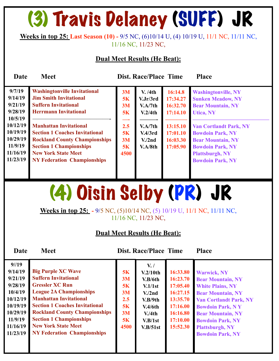### (3) Travis Delaney (SUFF) JR

#### **Weeks in top 25: Last Season (10) -** 9/5 NC, (6)10/14 U, (4) 10/19 U, 11/1 NC, 11/11 NC, 11/16 NC, 11/23 NC,

#### **Dual Meet Results (He Beat):**

**Date Meet Dist. Race/Place Time Place** 

| <b>Jim Smith Invitational</b><br>9/14/19<br>5K<br>V.Jr/3rd<br>17:34.27<br><b>Sunken Meadow, NY</b><br>9/21/19<br><b>Suffern Invitational</b><br>16:32.70<br>V.A/7th<br><b>Bear Mountain, NY</b><br>3M<br>9/28/19<br><b>Herrmann Invitational</b><br>5K<br>17:14.10<br>V.2/4th<br><b>Utica, NY</b><br>10/5/19<br>——<br>10/12/19<br><b>Manhattan Invitational</b><br>2.5<br>13:15.10<br>V.A/7th<br><b>Van Cortlandt Park, NY</b><br>10/19/19<br><b>Section 1 Coaches Invitational</b><br>5K<br>17:01.10<br><b>Bowdoin Park, NY</b><br>V.4/3rd<br>10/29/19<br><b>Rockland County Championships</b><br>3M<br>16:03.30<br><b>Bear Mountain, NY</b><br>V <sub>1</sub> /2nd<br>11/9/19<br><b>Section 1 Championships</b><br>5K<br>V.A/8th<br>17:05.90<br><b>Bowdoin Park, NY</b><br>11/16/19<br><b>New York State Meet</b><br>4500<br><b>Plattsburgh, NY</b><br>11/23/19<br><b>NY Federation Championships</b><br><b>Bowdoin Park, NY</b> | 9/7/19 | <b>Washingtonville Invitational</b> | 3M | V. /4th | 16:14.8 | <b>Washingtonville, NY</b> |  |
|------------------------------------------------------------------------------------------------------------------------------------------------------------------------------------------------------------------------------------------------------------------------------------------------------------------------------------------------------------------------------------------------------------------------------------------------------------------------------------------------------------------------------------------------------------------------------------------------------------------------------------------------------------------------------------------------------------------------------------------------------------------------------------------------------------------------------------------------------------------------------------------------------------------------------------|--------|-------------------------------------|----|---------|---------|----------------------------|--|
|------------------------------------------------------------------------------------------------------------------------------------------------------------------------------------------------------------------------------------------------------------------------------------------------------------------------------------------------------------------------------------------------------------------------------------------------------------------------------------------------------------------------------------------------------------------------------------------------------------------------------------------------------------------------------------------------------------------------------------------------------------------------------------------------------------------------------------------------------------------------------------------------------------------------------------|--------|-------------------------------------|----|---------|---------|----------------------------|--|

# (4) Oisin Selby (PR) JR

**Weeks in top 25: -** 9/5 NC, (5)10/14 NC, (5) 10/19 U, 11/1 NC, 11/11 NC, 11/16 NC, 11/23 NC,

#### **Dual Meet Results (He Beat):**

| $9^{1/19}$<br>9/14/19<br>9/21/19<br>9/28/19<br>10/4/19<br>10/12/19<br>10/19/19 | <b>Big Purple XC Wave</b><br><b>Suffern Invitational</b><br><b>Gressler XC Run</b><br><b>League 2A Championships</b><br><b>Manhattan Invitational</b><br><b>Section 1 Coaches Invitational</b> | 5K<br>3M<br>5K<br>3M<br>2.5<br>5K | $V_{\cdot}$ /<br>V.2/10th<br>V.B/6th<br>V.1/1st<br>V <sub>1</sub> /2nd<br>V.B/9th<br>V.4/6th | 16:33.80<br>16:23.70<br>17:05.40<br>16:27.15<br>13:35.70<br>17:16.00 | <b>Warwick, NY</b><br><b>Bear Mountain, NY</b><br><b>White Plains, NY</b><br><b>Bear Mountain, NY</b><br><b>Van Cortlandt Park, NY</b><br><b>Bowdoin Park, NY</b> |
|--------------------------------------------------------------------------------|------------------------------------------------------------------------------------------------------------------------------------------------------------------------------------------------|-----------------------------------|----------------------------------------------------------------------------------------------|----------------------------------------------------------------------|-------------------------------------------------------------------------------------------------------------------------------------------------------------------|
| 10/29/19<br>11/9/19<br>11/16/19<br>11/23/19                                    | <b>Rockland County Championships</b><br><b>Section 1 Championships</b><br><b>New York State Meet</b><br><b>NY Federation Championships</b>                                                     | 3M<br>5K<br>4500                  | V/4th<br>V.B/1st<br>V.B/51st                                                                 | 16:16.80<br>17:10.00<br>15:52.30                                     | <b>Bear Mountain, NY</b><br><b>Bowdoin Park, NY</b><br><b>Plattsburgh, NY</b><br><b>Bowdoin Park, NY</b>                                                          |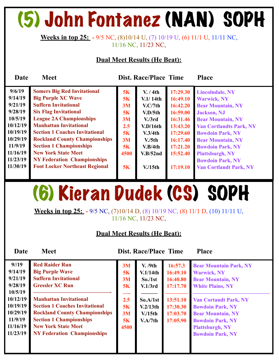# (5) John Fontanez (NAN) SOPH

#### **Weeks in top 25: -** 9/5 NC, (8)10/14 U, (7) 10/19 U, (6) 11/1 U, 11/11 NC, 11/16 NC, 11/23 NC,

#### **Dual Meet Results (He Beat):**

| Date                                                                                              | <b>Meet</b>                                                                                                                                                                                                                                                                                                          |                                                     | <b>Dist. Race/Place Time</b>                                                                                                           |                                                                                                          | <b>Place</b>                                                                                                                                                                                                                                    |
|---------------------------------------------------------------------------------------------------|----------------------------------------------------------------------------------------------------------------------------------------------------------------------------------------------------------------------------------------------------------------------------------------------------------------------|-----------------------------------------------------|----------------------------------------------------------------------------------------------------------------------------------------|----------------------------------------------------------------------------------------------------------|-------------------------------------------------------------------------------------------------------------------------------------------------------------------------------------------------------------------------------------------------|
| 9/6/19<br>9/14/19<br>9/21/19<br>9/28/19<br>10/5/19<br>10/12/19<br>10/19/19<br>10/29/19<br>11/9/19 | <b>Somers Big Red Invitational</b><br><b>Big Purple XC Wave</b><br><b>Suffern Invitational</b><br><b>Six Flag Invitational</b><br><b>League 2A Championships</b><br><b>Manhattan Invitational</b><br><b>Section 1 Coaches Invitational</b><br><b>Rockland County Championships</b><br><b>Section 1 Championships</b> | 5K<br>5K<br>3M<br>5K<br>3M<br>2.5<br>5K<br>3M<br>5K | V. / 4th<br>V <sub>1</sub> /14th<br>V.C/7th<br>V.D/5th<br>V <sub>1</sub> /3rd<br>V.D/16th<br>V.3/4th<br>V <sub>1</sub> /5th<br>V.B/4th | 17:29.30<br>16:49.10<br>16:42.20<br>16:59.00<br>16:31.46<br>13:43.20<br>17:29.60<br>16:17.40<br>17:21.20 | <b>Lincolndale, NY</b><br><b>Warwick, NY</b><br><b>Bear Mountain, NY</b><br><b>Jackson</b> , NJ<br><b>Bear Mountain, NY</b><br><b>Van Cortlandts Park, NY</b><br><b>Bowdoin Park, NY</b><br><b>Bear Mountain, NY</b><br><b>Bowdoin Park, NY</b> |
| 11/16/19<br>11/23/19<br>11/30/19                                                                  | <b>New York State Meet</b><br><b>NY Federation Championships</b><br><b>Foot Locker Northeast Regional</b>                                                                                                                                                                                                            | 4500<br>5K                                          | V.B/52nd<br>$V/15$ th                                                                                                                  | 15:52.40<br>17:19.10                                                                                     | <b>Plattsburgh, NY</b><br><b>Bowdoin Park, NY</b><br><b>Van Cortlandt Park, NY</b>                                                                                                                                                              |

### (6) Kieran Dudek (CS) SOPH

**Weeks in top 25: -** 9/5 NC, (7)10/14 D, (8) 10/19 NC, (8) 11/1 D, (10) 11/11 U, 11/16 NC, 11/23 NC,

#### **Dual Meet Results (He Beat):**

| $9^{1/19}$<br>9/14/19<br>9/21/19<br>9/28/19<br>10/5/19<br>10/12/19<br>10/19/19<br>10/29/19<br>11/9/19 | <b>Red Raider Run</b><br><b>Big Purple Wave</b><br><b>Suffern Invitational</b><br><b>Gressler XC Run</b><br><b>Manhattan Invitational</b><br><b>Section 1 Coaches Invitational</b><br><b>Rockland County Championships</b> | 3M<br>5K<br>3M<br>5K<br>2.5<br>5K<br>3M | V. /9th<br>V.1/14th<br>So./1st<br>V.1/3rd<br>So.A/1st<br>V.2/13th<br>$V/15$ th | 16:57.3<br>16:49.10<br>16:40.80<br>17:17.70<br>13:51.10<br>17:30.30<br>17:03.70 | <b>Bear Mountain Park, NY</b><br><b>Warwick, NY</b><br><b>Bear Mountain, NY</b><br><b>White Plains, NY</b><br><b>Van Cortandt Park, NY</b><br><b>Bowdoin Park, NY</b><br><b>Bear Mountain, NY</b> |
|-------------------------------------------------------------------------------------------------------|----------------------------------------------------------------------------------------------------------------------------------------------------------------------------------------------------------------------------|-----------------------------------------|--------------------------------------------------------------------------------|---------------------------------------------------------------------------------|---------------------------------------------------------------------------------------------------------------------------------------------------------------------------------------------------|
| 11/16/19                                                                                              | <b>Section 1 Championships</b><br><b>New York State Meet</b>                                                                                                                                                               | 5K<br>4500                              | V.A/7th                                                                        | 17:05.90                                                                        | <b>Bowdoin Park, NY</b><br><b>Plattsburgh, NY</b>                                                                                                                                                 |
| 11/23/19                                                                                              | <b>NY Federation Championships</b>                                                                                                                                                                                         |                                         |                                                                                |                                                                                 | <b>Bowdoin Park, NY</b>                                                                                                                                                                           |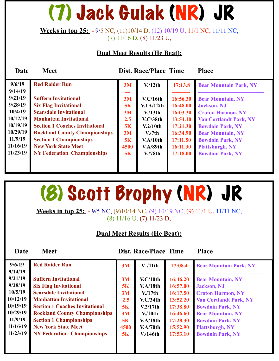# (7) Jack Gulak (NR) JR

**Weeks in top 25: -** 9/5 NC, (11)10/14 D, (12) 10/19 U, 11/1 NC, 11/11 NC, (7) 11/16 D, (8) 11/23 U,

#### **Dual Meet Results (He Beat):**

| Date                 | <b>Meet</b>                                                            |          | <b>Dist. Race/Place Time</b>    |                      | <b>Place</b>                                        |
|----------------------|------------------------------------------------------------------------|----------|---------------------------------|----------------------|-----------------------------------------------------|
| 9/6/19               | <b>Red Raider Run</b>                                                  | 3M       | V/12th                          | 17:13.8              | <b>Bear Mountain Park, NY</b>                       |
| 9/14/19<br>9/21/19   | <b>Suffern Invitational</b>                                            | 3M       | V.C/16th                        | 16:56.30             | <b>Bear Mountain, NY</b>                            |
| 9/28/19              | <b>Six Flag Invitational</b>                                           | 5K       | V.1A/12th                       | 16:48.00             | <b>Jackson</b> , NJ                                 |
| 10/4/19              | <b>Scarsdale Invitational</b>                                          | 3M       | V/13 <sup>th</sup>              | 16:03.30             | <b>Croton Harmon, NY</b>                            |
| 10/12/19             | <b>Manhattan Invitational</b>                                          | 2.5      | V.C/38th                        | 13:54.10             | <b>Van Cortlandt Park, NY</b>                       |
| 10/19/19<br>10/29/19 | <b>Section 1 Coaches Invitational</b>                                  | 5K       | V.2/10th                        | 17:21.30             | <b>Bowdoin Park, NY</b>                             |
| 11/9/19              | <b>Rockland County Championships</b><br><b>Section 1 Championships</b> | 3M<br>5K | V <sub>1</sub> /7th<br>V.A/10th | 16:34.90<br>17:11.50 | <b>Bear Mountain, NY</b><br><b>Bowdoin Park, NY</b> |
| 11/16/19             | <b>New York State Meet</b>                                             | 4500     | <b>V.A/89th</b>                 | 16:11.30             | <b>Plattsburgh, NY</b>                              |
| 11/23/19             | <b>NY Federation Championships</b>                                     | 5K       | V <sub>1</sub> /78th            | 17:18.00             | <b>Bowdoin Park, NY</b>                             |
|                      |                                                                        |          |                                 |                      |                                                     |
|                      |                                                                        |          |                                 |                      |                                                     |

### (8) Scott Brophy (NR) JR

**Weeks in top 25: -** 9/5 NC, (9)10/14 NC, (9) 10/19 NC, (9) 11/1 U, 11/11 NC, (8) 11/16 U, (7) 11/23 D,

#### **Dual Meet Results (He Beat):**

| 9/6/19   | <b>Red Raider Run</b>                 | 3M   | V. /11th        | 17:08.4  | <b>Bear Mountain Park, NY</b> |
|----------|---------------------------------------|------|-----------------|----------|-------------------------------|
| 9/14/19  |                                       |      |                 |          |                               |
| 9/21/19  | <b>Suffern Invitational</b>           | 3M   | V.C/10th        | 16:46.20 | <b>Bear Mountain, NY</b>      |
| 9/28/19  | <b>Six Flag Invitational</b>          | 5K   | <b>V.A/18th</b> | 16:57.00 | <b>Jackson</b> , NJ           |
| 10/5/19  | <b>Scarsdale Invitational</b>         | 3M   | V/17th          | 16:17.50 | <b>Croton Harmon, NY</b>      |
| 10/12/19 | <b>Manhattan Invitational</b>         | 2.5  | V.C/34th        | 13:52.20 | <b>Van Cortlandt Park, NY</b> |
| 10/19/19 | <b>Section 1 Coaches Invitational</b> | 5K   | V.2/17th        | 17:38.80 | <b>Bowdoin Park, NY</b>       |
| 10/29/19 | <b>Rockland County Championships</b>  | 3M   | $V/10$ th       | 16:46.60 | <b>Bear Mountain, NY</b>      |
| 11/9/19  | <b>Section 1 Championships</b>        | 5K   | V.A/18th        | 17:28.30 | <b>Bowdoin Park, NY</b>       |
| 11/16/19 | <b>New York State Meet</b>            | 4500 | <b>V.A/70th</b> | 15:52.90 | <b>Plattsburgh, NY</b>        |
| 11/23/19 | <b>NY Federation Championships</b>    | 5K   | V/146th         | 17:53.10 | <b>Bowdoin Park, NY</b>       |
|          |                                       |      |                 |          |                               |
|          |                                       |      |                 |          |                               |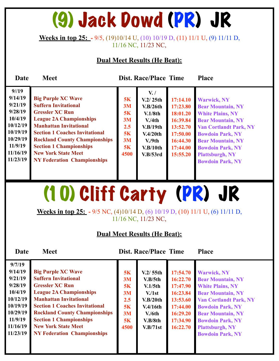### (9) Jack Dowd (PR) JR

**Weeks in top 25: -** 9/5, (19)10/14 U, (10) 10/19 D, (11) 11/1 U, (9) 11/11 D, 11/16 NC, 11/23 NC,

#### **Dual Meet Results (He Beat):**

**Date Meet Dist. Race/Place Time Place** 

| 9/19     |                                       |         | $V_{\cdot}$ / |          |                               |
|----------|---------------------------------------|---------|---------------|----------|-------------------------------|
| 9/14/19  | <b>Big Purple XC Wave</b>             | 5K      | V.2/25th      | 17:14.10 | <b>Warwick, NY</b>            |
| 9/21/19  | <b>Suffern Invitational</b>           | 3M      | V.B/26th      | 17:23.80 | <b>Bear Mountain, NY</b>      |
| 9/28/19  | <b>Gressler XC Run</b>                | 5K      | V.1/8th       | 18:01.20 | <b>White Plains, NY</b>       |
| 10/4/19  | <b>League 2A Championships</b>        | 3M      | V/4th         | 16:39.84 | <b>Bear Mountain, NY</b>      |
| 10/12/19 | <b>Manhattan Invitational</b>         | $2.5\,$ | V.B/19th      | 13:52.70 | <b>Van Cortlandt Park, NY</b> |
| 10/19/19 | <b>Section 1 Coaches Invitational</b> | 5K      | V.4/20th      | 17:50.00 | <b>Bowdoin Park, NY</b>       |
| 10/29/19 | <b>Rockland County Championships</b>  | 3M      | V.9th         | 16:44.30 | <b>Bear Mountain, NY</b>      |
| 11/9/19  | <b>Section 1 Championships</b>        | 5K      | V.B/10th      | 17:44.00 | <b>Bowdoin Park, NY</b>       |
| 11/16/19 | <b>New York State Meet</b>            | 4500    | V.B/53rd      | 15:55.20 | <b>Plattsburgh, NY</b>        |
| 11/23/19 | <b>NY Federation Championships</b>    |         |               |          | <b>Bowdoin Park, NY</b>       |
|          |                                       |         |               |          |                               |
|          |                                       |         |               |          |                               |

### (10) Cliff Carty (PR) JR

**Weeks in top 25: -** 9/5 NC, (4)10/14 D, (6) 10/19 D, (10) 11/1 U, (6) 11/11 D, 11/16 NC, 11/23 NC,

#### **Dual Meet Results (He Beat):**

| 9/7/19   |                                       |      |                     |          |                               |
|----------|---------------------------------------|------|---------------------|----------|-------------------------------|
| 9/14/19  | <b>Big Purple XC Wave</b>             | 5K   | V.2/55th            | 17:54.70 | <b>Warwick, NY</b>            |
| 9/21/19  | <b>Suffern Invitational</b>           | 3M   | V.B/5th             | 16:22.70 | <b>Bear Mountain, NY</b>      |
| 9/28/19  | <b>Gressler XC Run</b>                | 5K   | V.1/5 <sub>th</sub> | 17:47.90 | <b>White Plains, NY</b>       |
| 10/4/19  | <b>League 2A Championships</b>        | 3M   | V <sub>1st</sub>    | 16:23.84 | <b>Bear Mountain, NY</b>      |
| 10/12/19 | <b>Manhattan Invitational</b>         | 2.5  | V.B/20th            | 13:53.60 | <b>Van Cortlandt Park, NY</b> |
| 10/19/19 | <b>Section 1 Coaches Invitational</b> | 5K   | V.4/16th            | 17:44.00 | <b>Bowdoin Park, NY</b>       |
| 10/29/19 | <b>Rockland County Championships</b>  | 3M   | V/6th               | 16:29.20 | <b>Bear Mountain, NY</b>      |
| 11/9/19  | <b>Section 1 Championships</b>        | 5K   | V.B/8th             | 17:34.90 | <b>Bowdoin Park, NY</b>       |
| 11/16/19 | <b>New York State Meet</b>            | 4500 | V.B/71st            | 16:22.70 | <b>Plattsburgh, NY</b>        |
| 11/23/19 | <b>NY Federation Championships</b>    |      |                     |          | <b>Bowdoin Park, NY</b>       |
|          |                                       |      |                     |          |                               |
|          |                                       |      |                     |          |                               |
|          |                                       |      |                     |          |                               |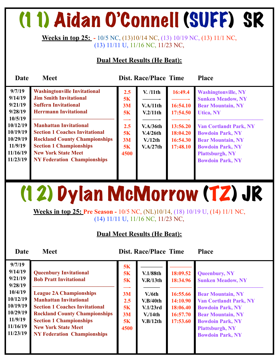# (11) Aidan O'Connell (SUFF) SR

**Weeks in top 25: -** 10/5 NC, (13)10/14 NC, (13) 10/19 NC, (13) 11/1 NC, (13) 11/11 U, 11/16 NC, 11/23 NC,

#### **Dual Meet Results (He Beat):**

| <b>Dist. Race/Place Time</b><br><b>Meet</b><br><b>Place</b><br>Date                                                                                                                                                                                                                                                                                                                                                                                                                                                                                                                                                                                                                                                                                                                                                                                                                                                                                                                                       |  |
|-----------------------------------------------------------------------------------------------------------------------------------------------------------------------------------------------------------------------------------------------------------------------------------------------------------------------------------------------------------------------------------------------------------------------------------------------------------------------------------------------------------------------------------------------------------------------------------------------------------------------------------------------------------------------------------------------------------------------------------------------------------------------------------------------------------------------------------------------------------------------------------------------------------------------------------------------------------------------------------------------------------|--|
| 9/7/19<br><b>Washingtonville Invitational</b><br>2.5<br>16:49.4<br>V. /11th<br><b>Washingtonville, NY</b><br>9/14/19<br><b>Jim Smith Invitational</b><br>5K<br><b>Sunken Meadow, NY</b><br>9/21/19<br><b>Suffern Invitational</b><br>3M<br>V.A/11th<br>16:54.10<br><b>Bear Mountain, NY</b><br>9/28/19<br><b>Herrmann Invitational</b><br>17:54.50<br>5K<br>V.2/11th<br><b>Utica, NY</b><br>10/5/19<br>10/12/19<br><b>Manhattan Invitational</b><br>2.5<br>13:56.20<br>V.A/36th<br><b>Van Cortlandt Park, NY</b><br>10/19/19<br><b>Section 1 Coaches Invitational</b><br>5K<br>18:04.20<br>V.4/26th<br><b>Bowdoin Park, NY</b><br>10/29/19<br><b>Rockland County Championships</b><br>3M<br>V/12th<br>16:54.30<br><b>Bear Mountain, NY</b><br>11/9/19<br><b>Section 1 Championships</b><br>5K<br>17:48.10<br>V.A/27th<br><b>Bowdoin Park, NY</b><br>11/16/19<br><b>New York State Meet</b><br>4500<br><b>Plattsburgh, NY</b><br>11/23/19<br><b>NY Federation Championships</b><br><b>Bowdoin Park, NY</b> |  |

# (12) Dylan McMorrow (TZ) JR

**Weeks in top 25: Pre Season -** 10/5 NC, (NL)10/14, (18) 10/19 U, (14) 11/1 NC, (14) 11/11 U, 11/16 NC, 11/23 NC,

#### **Dual Meet Results (He Beat):**

| 9/7/19<br>9/14/19<br>9/21/19<br>9/28/19<br>10/4/19<br>10/12/19<br>10/19/19<br>10/29/19<br>11/9/19<br>11/16/19<br>11/23/19 | <b>Queenbury Invitational</b><br><b>Bob Pratt Invitational</b><br><b>League 2A Championships</b><br><b>Manhattan Invitational</b><br><b>Section 1 Coaches Invitational</b><br><b>Rockland County Championships</b><br><b>Section 1 Championships</b><br><b>New York State Meet</b><br><b>NY Federation Championships</b> | 5K<br>5K<br>5K<br>3M<br>2.5<br>5K<br>3M<br>5K<br>4500 | $V.1/88$ th<br>V.R/13th<br>V/6th<br>V.B/40th<br>V.1/23rd<br>V/14th<br>V.B/12th | 18:09.52<br>18:34.96<br>16:55.66<br>14:10.90<br>18:06.40<br>16:57.70<br>17:53.60 | <b>Queenbury, NY</b><br><b>Sunken Meadow, NY</b><br><b>Bear Mountain, NY</b><br><b>Van Cortlandt Park, NY</b><br><b>Bowdoin Park, NY</b><br><b>Bear Mountain, NY</b><br><b>Bowdoin Park, NY</b><br><b>Plattsburgh, NY</b><br><b>Bowdoin Park, NY</b> |
|---------------------------------------------------------------------------------------------------------------------------|--------------------------------------------------------------------------------------------------------------------------------------------------------------------------------------------------------------------------------------------------------------------------------------------------------------------------|-------------------------------------------------------|--------------------------------------------------------------------------------|----------------------------------------------------------------------------------|------------------------------------------------------------------------------------------------------------------------------------------------------------------------------------------------------------------------------------------------------|
|                                                                                                                           |                                                                                                                                                                                                                                                                                                                          |                                                       |                                                                                |                                                                                  |                                                                                                                                                                                                                                                      |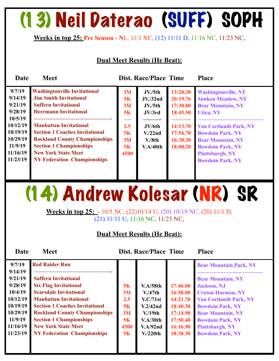### (13) Neil Daterao (SUFF) SOPH

**Weeks in top 25: Pre Season - N**L, 11/1 NC, (12) 11/11 D, 11/16 NC, 11/23 NC,

#### **Dual Meet Results (He Beat):**

| Date                                                                | <b>Meet</b>                                                                                                                                                                                                          |                               | <b>Dist. Race/Place Time</b>                        |                                              | <b>Place</b>                                                                                                                                                         |
|---------------------------------------------------------------------|----------------------------------------------------------------------------------------------------------------------------------------------------------------------------------------------------------------------|-------------------------------|-----------------------------------------------------|----------------------------------------------|----------------------------------------------------------------------------------------------------------------------------------------------------------------------|
| 9/7/19<br>9/14/19<br>9/21/19<br>9/28/19<br>10/5/19                  | <b>Washingtonville Invitational</b><br><b>Jim Smith Invitational</b><br><b>Suffern Invitational</b><br><b>Herrmann Invitational</b>                                                                                  | 3M<br><b>5K</b><br>3M<br>5K   | JV./5th<br><b>JV./32nd</b><br>JV./5th<br>JV/3rd     | 13:28.30<br>20:19.76<br>17:30.80<br>18:45.50 | <b>Washingtonville, NY</b><br><b>Sunken Meadow, NY</b><br><b>Bear Mountain, NY</b><br><b>Utica, NY</b>                                                               |
| 10/12/19<br>10/19/19<br>10/29/19<br>11/9/19<br>11/16/19<br>11/23/19 | <b>Manhattan Invitational</b><br><b>Section 1 Coaches Invitational</b><br><b>Rockland County Championships</b><br><b>Section 1 Championships</b><br><b>New York State Meet</b><br><b>NY Federation Championships</b> | 2.5<br>5K<br>3M<br>5K<br>4500 | JV/6th<br>V <sub>1</sub> /22nd<br>V.8th<br>V.A/40th | 14:13.70<br>17:56.70<br>16:38.30<br>18:08.20 | <b>Van Cortlandt Park, NY</b><br><b>Bowdoin Park, NY</b><br><b>Bear Mountain, NY</b><br><b>Bowdoin Park, NY</b><br><b>Plattsburgh, NY</b><br><b>Bowdoin Park, NY</b> |

### (14) Andrew Kolesar (NR) SR

**Weeks in top 25: -** 10/5 NC, (22)10/14 U, (20) 10/19 NC, (20) 11/1 D, (21) 11/11 U, 11/16 NC, 11/23 NC,

#### **Dual Meet Results (He Beat):**

| 9/7/19   | <b>Red Raider Run</b>                 |      |                       |          | <b>Bear Mountain Park, NY</b> |
|----------|---------------------------------------|------|-----------------------|----------|-------------------------------|
| 9/14/19  |                                       |      |                       |          |                               |
| 9/21/19  | <b>Suffern Invitational</b>           |      |                       |          | <b>Bear Mountain, NY</b>      |
| 9/28/19  | <b>Six Flag Invitational</b>          | 5K   | <b>V.A/58th</b>       | 17:46.00 | <b>Jackson</b> , NJ           |
| 10/4/19  | <b>Scarsdale Invitational</b>         | 3M   | V/47th                | 16:58.00 | <b>Croton Harmon, NY</b>      |
| 10/12/19 | <b>Manhattan Invitational</b>         | 2.5  | V.C/71st              | 14:21.70 | <b>Van Cortlandt Park, NY</b> |
| 10/19/19 | <b>Section 1 Coaches Invitational</b> | 5K   | V.2/42nd              | 18:40.30 | <b>Bowdoin Park, NY</b>       |
| 10/29/19 | <b>Rockland County Championships</b>  | 3M   | V/19 <sub>th</sub>    | 17:14.90 | <b>Bear Mountain, NY</b>      |
| 11/9/19  | <b>Section 1 Championships</b>        | 5K   | V.A/30th              | 17:50.40 | <b>Bowdoin Park, NY</b>       |
| 11/16/19 | <b>New York State Meet</b>            | 4500 | V.A/92nd              | 16:16.90 | <b>Plattsburgh, NY</b>        |
| 11/23/19 | <b>NY Federation Championships</b>    | 5K   | V <sub>1</sub> /220th | 18:38.30 | <b>Bowdoin Park, NY</b>       |
|          |                                       |      |                       |          |                               |
|          |                                       |      |                       |          |                               |
|          |                                       |      |                       |          |                               |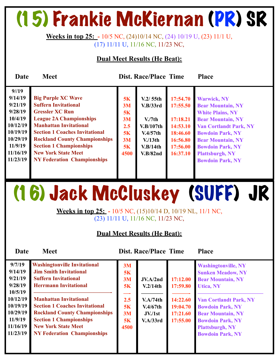### (15) Frankie McKiernan (PR) SR

**Weeks in top 25: -** 10/5 NC, (24)10/14 NC, (24) 10/19 U, (23) 11/1 U, (17) 11/11 U, 11/16 NC, 11/23 NC,

#### **Dual Meet Results (He Beat):**

| Date                                                                                                                          | <b>Meet</b>                                                                                                                                                                                                                                                                                                                                  |                                                       | <b>Dist. Race/Place Time</b>                                                                                       |                                                                                              | <b>Place</b>                                                                                                                                                                                                                                                                  |
|-------------------------------------------------------------------------------------------------------------------------------|----------------------------------------------------------------------------------------------------------------------------------------------------------------------------------------------------------------------------------------------------------------------------------------------------------------------------------------------|-------------------------------------------------------|--------------------------------------------------------------------------------------------------------------------|----------------------------------------------------------------------------------------------|-------------------------------------------------------------------------------------------------------------------------------------------------------------------------------------------------------------------------------------------------------------------------------|
| $9^{1/19}$<br>9/14/19<br>9/21/19<br>9/28/19<br>10/4/19<br>10/12/19<br>10/19/19<br>10/29/19<br>11/9/19<br>11/16/19<br>11/23/19 | <b>Big Purple XC Wave</b><br><b>Suffern Invitational</b><br><b>Gressler XC Run</b><br><b>League 2A Championships</b><br><b>Manhattan Invitational</b><br><b>Section 1 Coaches Invitational</b><br><b>Rockland County Championships</b><br><b>Section 1 Championships</b><br><b>New York State Meet</b><br><b>NY Federation Championships</b> | 5K<br>3M<br>5K<br>3M<br>2.5<br>5K<br>3M<br>5K<br>4500 | V.2/55th<br>V.B/33rd<br>V <sub>1</sub> /7th<br>V.B/107th<br>V.4/57th<br>V/13 <sup>th</sup><br>V.B/14th<br>V.B/82nd | 17:54.70<br>17:55.50<br>17:18.21<br>14:53.10<br>18:46.60<br>16:56.80<br>17:56.00<br>16:37.10 | <b>Warwick, NY</b><br><b>Bear Mountain, NY</b><br><b>White Plains, NY</b><br><b>Bear Mountain, NY</b><br><b>Van Cortlandt Park, NY</b><br><b>Bowdoin Park, NY</b><br><b>Bear Mountain, NY</b><br><b>Bowdoin Park, NY</b><br><b>Plattsburgh, NY</b><br><b>Bowdoin Park, NY</b> |
|                                                                                                                               |                                                                                                                                                                                                                                                                                                                                              |                                                       |                                                                                                                    |                                                                                              |                                                                                                                                                                                                                                                                               |

# (16) Jack McCluskey (SUFF) JR

**Weeks in top 25: -** 10/5 NC, (15)10/14 D, 10/19 NL, 11/1 NC, (23) 11/11 U, 11/16 NC, 11/23 NC,

#### **Dual Meet Results (He Beat):**

| 9/7/19<br><b>Washingtonville Invitational</b><br>9/14/19<br><b>Jim Smith Invitational</b><br>9/21/19<br><b>Suffern Invitational</b><br>9/28/19<br><b>Herrmann Invitational</b><br>10/5/19<br>10/12/19<br><b>Manhattan Invitational</b><br>10/19/19<br><b>Section 1 Coaches Invitational</b><br>10/29/19<br><b>Rockland County Championships</b><br>11/9/19<br><b>Section 1 Championships</b><br>11/16/19<br><b>New York State Meet</b><br>11/23/19<br><b>NY Federation Championships</b> | 3M<br>5K<br>3M<br>5K<br>2.5<br>5K<br>3M<br>5K<br>4500 | JV.A/2nd<br>V.2/14th<br>V.A/74th<br>V.4/67th<br>JV/1st<br>V.A/33rd | 17:12.00<br>17:59.80<br>14:22.60<br>19:04.70<br>17:21.60<br>17:55.00 | <b>Washingtonville, NY</b><br><b>Sunken Meadow, NY</b><br><b>Bear Mountain, NY</b><br>Utica, NY<br><b>Van Cortlandt Park, NY</b><br><b>Bowdoin Park, NY</b><br><b>Bear Mountain, NY</b><br><b>Bowdoin Park, NY</b><br><b>Plattsburgh, NY</b><br><b>Bowdoin Park, NY</b> |
|------------------------------------------------------------------------------------------------------------------------------------------------------------------------------------------------------------------------------------------------------------------------------------------------------------------------------------------------------------------------------------------------------------------------------------------------------------------------------------------|-------------------------------------------------------|--------------------------------------------------------------------|----------------------------------------------------------------------|-------------------------------------------------------------------------------------------------------------------------------------------------------------------------------------------------------------------------------------------------------------------------|
|------------------------------------------------------------------------------------------------------------------------------------------------------------------------------------------------------------------------------------------------------------------------------------------------------------------------------------------------------------------------------------------------------------------------------------------------------------------------------------------|-------------------------------------------------------|--------------------------------------------------------------------|----------------------------------------------------------------------|-------------------------------------------------------------------------------------------------------------------------------------------------------------------------------------------------------------------------------------------------------------------------|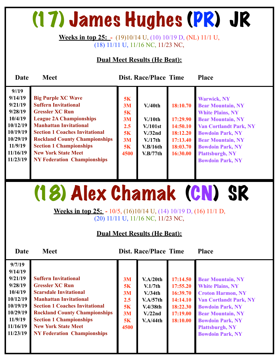### (17) James Hughes (PR) JR

**Weeks in top 25: -** (19)10/14 U, (10) 10/19 D, (NL) 11/1 U, (18) 11/11 U, 11/16 NC, 11/23 NC,

#### **Dual Meet Results (He Beat):**

| Date                                                                                                                    | <b>Meet</b>                                                                                                                                                                                                                                                                                                                                  |                                                       | <b>Dist. Race/Place Time</b>                                                           |                                                                                  | <b>Place</b>                                                                                                                                                                                                                                                                  |
|-------------------------------------------------------------------------------------------------------------------------|----------------------------------------------------------------------------------------------------------------------------------------------------------------------------------------------------------------------------------------------------------------------------------------------------------------------------------------------|-------------------------------------------------------|----------------------------------------------------------------------------------------|----------------------------------------------------------------------------------|-------------------------------------------------------------------------------------------------------------------------------------------------------------------------------------------------------------------------------------------------------------------------------|
| 9/19<br>9/14/19<br>9/21/19<br>9/28/19<br>10/4/19<br>10/12/19<br>10/19/19<br>10/29/19<br>11/9/19<br>11/16/19<br>11/23/19 | <b>Big Purple XC Wave</b><br><b>Suffern Invitational</b><br><b>Gressler XC Run</b><br><b>League 2A Championships</b><br><b>Manhattan Invitational</b><br><b>Section 1 Coaches Invitational</b><br><b>Rockland County Championships</b><br><b>Section 1 Championships</b><br><b>New York State Meet</b><br><b>NY Federation Championships</b> | 5K<br>3M<br>5K<br>3M<br>2.5<br>5K<br>3M<br>5K<br>4500 | V.40 <sub>th</sub><br>$V/10$ th<br>V/101st<br>V.32nd<br>V/17th<br>V.B/16th<br>V.B/77th | 18:10.70<br>17:29.90<br>14:50.10<br>18:12.20<br>17:13.40<br>18:03.70<br>16:30.00 | <b>Warwick, NY</b><br><b>Bear Mountain, NY</b><br><b>White Plains, NY</b><br><b>Bear Mountain, NY</b><br><b>Van Cortlandt Park, NY</b><br><b>Bowdoin Park, NY</b><br><b>Bear Mountain, NY</b><br><b>Bowdoin Park, NY</b><br><b>Plattsburgh, NY</b><br><b>Bowdoin Park, NY</b> |
|                                                                                                                         |                                                                                                                                                                                                                                                                                                                                              |                                                       |                                                                                        |                                                                                  |                                                                                                                                                                                                                                                                               |

### (18) Alex Chamak (CN) SR

**Weeks in top 25: -** 10/5, (16)10/14 U, (14) 10/19 D, (16) 11/1 D, (20) 11/11 U, 11/16 NC, 11/23 NC,

#### **Dual Meet Results (He Beat):**

| 9/7/19<br>9/14/19<br>9/21/19                                                              | <b>Suffern Invitational</b>                                                                                                                                                                                                                                                     | 3M                                        | V.A/20th                                                                                    | 17:14.50                                                             | <b>Bear Mountain, NY</b>                                                                                                                                                                                                    |
|-------------------------------------------------------------------------------------------|---------------------------------------------------------------------------------------------------------------------------------------------------------------------------------------------------------------------------------------------------------------------------------|-------------------------------------------|---------------------------------------------------------------------------------------------|----------------------------------------------------------------------|-----------------------------------------------------------------------------------------------------------------------------------------------------------------------------------------------------------------------------|
| 9/28/19<br>10/4/19<br>10/12/19<br>10/19/19<br>10/29/19<br>11/9/19<br>11/16/19<br>11/23/19 | <b>Gressler XC Run</b><br><b>Scarsdale Invitational</b><br><b>Manhattan Invitational</b><br><b>Section 1 Coaches Invitational</b><br><b>Rockland County Championships</b><br><b>Section 1 Championships</b><br><b>New York State Meet</b><br><b>NY Federation Championships</b> | 5K<br>3M<br>2.5<br>5K<br>3M<br>5K<br>4500 | V.1/7th<br>V <sub>1</sub> /34th<br>V.A/57th<br>V.4/38th<br>V <sub>1</sub> /22nd<br>V.A/44th | 17:55.20<br>16:39.70<br>14:14.10<br>18:22.30<br>17:19.00<br>18:10.00 | <b>White Plains, NY</b><br><b>Croton Harmon, NY</b><br><b>Van Cortlandt Park, NY</b><br><b>Bowdoin Park, NY</b><br><b>Bear Mountain, NY</b><br><b>Bowdoin Park, NY</b><br><b>Plattsburgh, NY</b><br><b>Bowdoin Park, NY</b> |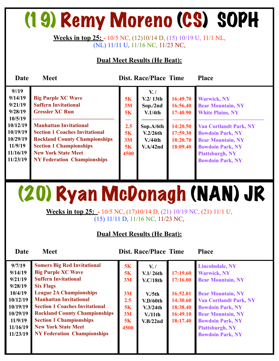# (19) Remy Moreno (CS) SOPH

**Weeks in top 25: -** 10/5 NC, (12)10/14 D, (15) 10/19 U, 11/1 NL, (NL) 11/11 U, 11/16 NC, 11/23 NC,

#### **Dual Meet Results (He Beat):**

| Date                                                                                                                    | <b>Meet</b>                                                                                                                                                                                                                                                                                                |                                                 | <b>Dist. Race/Place Time</b>                                                                    |                                                                                  | <b>Place</b>                                                                                                                                                                                                                                      |
|-------------------------------------------------------------------------------------------------------------------------|------------------------------------------------------------------------------------------------------------------------------------------------------------------------------------------------------------------------------------------------------------------------------------------------------------|-------------------------------------------------|-------------------------------------------------------------------------------------------------|----------------------------------------------------------------------------------|---------------------------------------------------------------------------------------------------------------------------------------------------------------------------------------------------------------------------------------------------|
| 9/19<br>9/14/19<br>9/21/19<br>9/28/19<br>10/5/19<br>10/12/19<br>10/19/19<br>10/29/19<br>11/9/19<br>11/16/19<br>11/23/19 | <b>Big Purple XC Wave</b><br><b>Suffern Invitational</b><br><b>Gressler XC Run</b><br><b>Manhattan Invitational</b><br><b>Section 1 Coaches Invitational</b><br><b>Rockland County Championships</b><br><b>Section 1 Championships</b><br><b>New York State Meet</b><br><b>NY Federation Championships</b> | 5K<br>3M<br>5K<br>2.5<br>5K<br>3M<br>5K<br>4500 | $V_{\cdot}$ /<br>V.2/13th<br>Sop./2nd<br>V.1/4th<br>Sop.A/6th<br>V.2/26th<br>V.44th<br>V.A/42nd | 16:49.70<br>16:56.40<br>17:40.90<br>14:20.50<br>17:59.30<br>18:20.70<br>18:09.40 | <b>Warwick, NY</b><br><b>Bear Mountain, NY</b><br><b>White Plains, NY</b><br><b>Van Cortlandt Park, NY</b><br><b>Bowdoin Park, NY</b><br><b>Bear Mountain, NY</b><br><b>Bowdoin Park, NY</b><br><b>Plattsburgh, NY</b><br><b>Bowdoin Park, NY</b> |
|                                                                                                                         |                                                                                                                                                                                                                                                                                                            |                                                 |                                                                                                 |                                                                                  |                                                                                                                                                                                                                                                   |

# (20) Ryan McDonagh (NAN) JR

**Weeks in top 25: -** 10/5 NC, (17)10/14 D, (21) 10/19 NC, (21) 11/1 U, (15) 11/11 D, 11/16 NC, 11/23 NC,

#### **Dual Meet Results (He Beat):**

| 9/7/19<br>9/14/19<br>9/21/19<br>9/28/19<br>10/4/19<br>10/12/19<br>10/19/19<br>10/29/19<br>11/9/19<br>11/16/19<br>11/23/19 | <b>Somers Big Red Invitational</b><br><b>Big Purple XC Wave</b><br><b>Suffern Invitational</b><br><b>Six Flags</b><br><b>League 2A Championships</b><br><b>Manhattan Invitational</b><br><b>Section 1 Coaches Invitational</b><br><b>Rockland County Championships</b><br><b>Section 1 Championships</b><br><b>New York State Meet</b><br><b>NY Federation Championships</b> | 5K<br>5K<br>3M<br>3M<br>2.5<br>5K<br>3M<br>5K<br>4500 | $V_{\cdot}$<br>V.1/26th<br>V.C/18th<br>V <sub>1</sub> /5th<br>V.D/60th<br>V.3/24th<br>$V/11$ th<br>V.B/22nd | 17:19.60<br>17:16.00<br>16:52.01<br>14:30.60<br>18:38.40<br>16:49.10<br>18:17.40 | <b>Lincolndale, NY</b><br><b>Warwick, NY</b><br><b>Bear Mountain, NY</b><br><b>Bear Mountain, NY</b><br><b>Van Cortlandt Park, NY</b><br><b>Bowdoin Park, NY</b><br><b>Bear Mountain, NY</b><br><b>Bowdoin Park, NY</b><br><b>Plattsburgh, NY</b><br><b>Bowdoin Park, NY</b> |
|---------------------------------------------------------------------------------------------------------------------------|------------------------------------------------------------------------------------------------------------------------------------------------------------------------------------------------------------------------------------------------------------------------------------------------------------------------------------------------------------------------------|-------------------------------------------------------|-------------------------------------------------------------------------------------------------------------|----------------------------------------------------------------------------------|------------------------------------------------------------------------------------------------------------------------------------------------------------------------------------------------------------------------------------------------------------------------------|
|                                                                                                                           |                                                                                                                                                                                                                                                                                                                                                                              |                                                       |                                                                                                             |                                                                                  |                                                                                                                                                                                                                                                                              |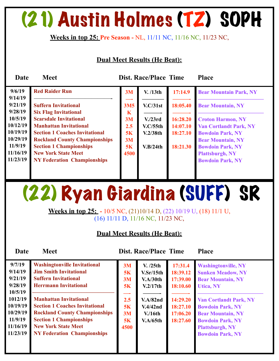### (21) Austin Holmes (TZ) SOPH

#### **Weeks in top 25: Pre Season -** NL, 11/11 NC, 11/16 NC, 11/23 NC,

#### **Dual Meet Results (He Beat):**

| Date                 | <b>Meet</b>                                                                   |                           | <b>Dist. Race/Place Time</b>     |                      | <b>Place</b>                                              |
|----------------------|-------------------------------------------------------------------------------|---------------------------|----------------------------------|----------------------|-----------------------------------------------------------|
| 9/6/19<br>9/14/19    | <b>Red Raider Run</b>                                                         | 3M                        | V. / 13th                        | 17:14.9              | <b>Bear Mountain Park, NY</b>                             |
| 9/21/19<br>9/28/19   | <b>Suffern Invitational</b><br><b>Six Flag Invitational</b>                   | <b>3M5</b><br>$\mathbf K$ | V.C/31st                         | 18:05.40             | <b>Bear Mountain, NY</b>                                  |
| 10/5/19<br>10/12/19  | <b>Scarsdale Invitational</b><br><b>Manhattan Invitational</b>                | 3M<br>2.5                 | V <sub>1</sub> /23rd<br>V.C/55th | 16:28.20<br>14:07.10 | <b>Croton Harmon, NY</b><br><b>Van Cortlandt Park, NY</b> |
| 10/19/19<br>10/29/19 | <b>Section 1 Coaches Invitational</b><br><b>Rockland County Championships</b> | 5K<br>3M                  | V.2/38th                         | 18:27.10             | <b>Bowdoin Park, NY</b><br><b>Bear Mountain, NY</b>       |
| 11/9/19<br>11/16/19  | <b>Section 1 Championships</b><br><b>New York State Meet</b>                  | 5K<br>4500                | V.B/24th                         | 18:21.30             | <b>Bowdoin Park, NY</b><br><b>Plattsburgh, NY</b>         |
| 11/23/19             | <b>NY Federation Championships</b>                                            |                           |                                  |                      | <b>Bowdoin Park, NY</b>                                   |
|                      |                                                                               |                           |                                  |                      |                                                           |

# (22) Ryan Giardina (SUFF) SR

**Weeks in top 25: -** 10/5 NC, (21)10/14 D, (22) 10/19 U, (18) 11/1 U, (16) 11/11 D, 11/16 NC, 11/23 NC,

#### **Dual Meet Results (He Beat):**

| 9/7/19<br>9/14/19<br>9/21/19<br>9/28/19<br>10/5/19                 | <b>Washingtonville Invitational</b><br><b>Jim Smith Invitational</b><br><b>Suffern Invitational</b><br><b>Herrmann Invitational</b>                                                                                  | 3M<br>5K<br>3M<br>5K<br>——           | V. /25th<br>V.Sr/15th<br>V.A/30th<br>V.2/17th     | 17:31.4<br>18:39.12<br>17:39.00<br>18:10.60  | <b>Washingtonville, NY</b><br><b>Sunken Meadow, NY</b><br><b>Bear Mountain, NY</b><br><b>Utica, NY</b>                                                               |
|--------------------------------------------------------------------|----------------------------------------------------------------------------------------------------------------------------------------------------------------------------------------------------------------------|--------------------------------------|---------------------------------------------------|----------------------------------------------|----------------------------------------------------------------------------------------------------------------------------------------------------------------------|
| 1012/19<br>10/19/19<br>10/29/19<br>11/9/19<br>11/16/19<br>11/23/19 | <b>Manhattan Invitational</b><br><b>Section 1 Coaches Invitational</b><br><b>Rockland County Championships</b><br><b>Section 1 Championships</b><br><b>New York State Meet</b><br><b>NY Federation Championships</b> | 2.5<br>5K<br>3M<br><b>5K</b><br>4500 | V.A/82nd<br>V.4/42nd<br>V/16th<br><b>V.A/65th</b> | 14:29.20<br>18:27.10<br>17:06.20<br>18:27.60 | <b>Van Cortlandt Park, NY</b><br><b>Bowdoin Park, NY</b><br><b>Bear Mountain, NY</b><br><b>Bowdoin Park, NY</b><br><b>Plattsburgh, NY</b><br><b>Bowdoin Park, NY</b> |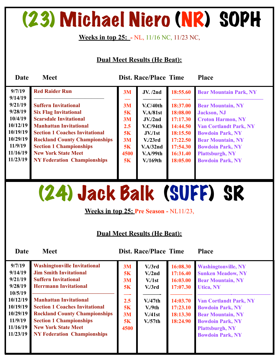### (23) Michael Niero (NR) SOPH

#### **Weeks in top 25: -** NL, 11/16 NC, 11/23 NC,

#### **Dual Meet Results (He Beat):**

| Date               | <b>Meet</b>                           |      | <b>Dist. Race/Place Time</b> |          | <b>Place</b>                  |
|--------------------|---------------------------------------|------|------------------------------|----------|-------------------------------|
| 9/7/19             | <b>Red Raider Run</b>                 | 3M   | JV. /2nd                     | 18:55.60 | <b>Bear Mountain Park, NY</b> |
| 9/14/19<br>9/21/19 | <b>Suffern Invitational</b>           | 3M   | V.C/40th                     | 18:37.00 | <b>Bear Mountain, NY</b>      |
| 9/28/19            | <b>Six Flag Invitational</b>          | 5K   | V.A/81st                     | 18:08.00 | <b>Jackson</b> , NJ           |
| 10/4/19            | <b>Scarsdale Invitational</b>         | 3M   | $JV$ ./2nd                   | 17:17.30 | <b>Croton Harmon, NY</b>      |
| 10/12/19           | <b>Manhattan Invitational</b>         | 2.5  | V.C/94th                     | 14:44.50 | <b>Van Cortlandt Park, NY</b> |
| 10/19/19           | <b>Section 1 Coaches Invitational</b> | 5K   | JV/1st                       | 18:15.50 | <b>Bowdoin Park, NY</b>       |
| 10/29/19           | <b>Rockland County Championships</b>  | 3M   | V <sub>1</sub> /23rd         | 17:22.50 | <b>Bear Mountain, NY</b>      |
| 11/9/19            | <b>Section 1 Championships</b>        | 5K   | V.A/32nd                     | 17:54.30 | <b>Bowdoin Park, NY</b>       |
| 11/16/19           | <b>New York State Meet</b>            | 4500 | V.A/99th                     | 16:31.40 | <b>Plattsburgh, NY</b>        |
| 11/23/19           | <b>NY Federation Championships</b>    | 5K   | $V/169$ th                   | 18:05.00 | <b>Bowdoin Park, NY</b>       |
|                    |                                       |      |                              |          |                               |

### (24) Jack Balk (SUFF) SR

**Weeks in top 25: Pre Season -** NL11/23,

#### **Dual Meet Results (He Beat):**

| 9/7/19<br>9/14/19<br>9/21/19<br>9/28/19<br>10/5/19<br>10/12/19<br>10/19/19<br>10/29/19<br>11/9/19<br>11/16/19<br>11/23/19 | <b>Washingtonville Invitational</b><br><b>Jim Smith Invitational</b><br><b>Suffern Invitational</b><br><b>Herrmann Invitational</b><br><b>Manhattan Invitational</b><br><b>Section 1 Coaches Invitational</b><br><b>Rockland County Championships</b><br><b>Section 1 Championships</b><br><b>New York State Meet</b><br><b>NY Federation Championships</b> | 3M<br><b>5K</b><br>3M<br>5K<br>——<br>2.5<br>5K<br>3M<br>5K<br>4500 | V <sub>1</sub> /3rd<br>V <sub>1</sub> /2nd<br>V <sub>1st</sub><br>V <sub>1</sub> /3rd<br>V.47th<br>V.9th<br>V.41st<br>$V/57$ th | 16:08.30<br>17:16.40<br>16:03.00<br>17:07.30<br>14:03.70<br>17:23.10<br>18:13.30<br>18:24.90 | <b>Washingtonville, NY</b><br><b>Sunken Meadow, NY</b><br><b>Bear Mountain, NY</b><br><b>Utica, NY</b><br><b>Van Cortlandt Park, NY</b><br><b>Bowdoin Park, NY</b><br><b>Bear Mountain, NY</b><br><b>Bowdoin Park, NY</b><br><b>Plattsburgh, NY</b><br><b>Bowdoin Park, NY</b> |
|---------------------------------------------------------------------------------------------------------------------------|-------------------------------------------------------------------------------------------------------------------------------------------------------------------------------------------------------------------------------------------------------------------------------------------------------------------------------------------------------------|--------------------------------------------------------------------|---------------------------------------------------------------------------------------------------------------------------------|----------------------------------------------------------------------------------------------|--------------------------------------------------------------------------------------------------------------------------------------------------------------------------------------------------------------------------------------------------------------------------------|
|                                                                                                                           |                                                                                                                                                                                                                                                                                                                                                             |                                                                    |                                                                                                                                 |                                                                                              |                                                                                                                                                                                                                                                                                |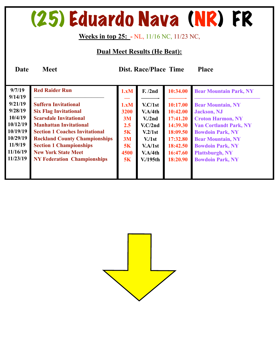### (25) Eduardo Nava (NR) FR

#### **Weeks in top 25: -** NL, 11/16 NC, 11/23 NC,

#### **Dual Meet Results (He Beat):**

| 9/7/19                                                           | <b>Red Raider Run</b>                                                                                                                                                  | 1.xM                            | F. /2nd                                              | 10:34.00                                                 | <b>Bear Mountain Park, NY</b>                                                                                                           |
|------------------------------------------------------------------|------------------------------------------------------------------------------------------------------------------------------------------------------------------------|---------------------------------|------------------------------------------------------|----------------------------------------------------------|-----------------------------------------------------------------------------------------------------------------------------------------|
| 9/14/19<br>9/21/19<br>9/28/19<br>10/4/19<br>10/12/19<br>10/19/19 | <b>Suffern Invitational</b><br><b>Six Flag Invitational</b><br><b>Scarsdale Invitational</b><br><b>Manhattan Invitational</b><br><b>Section 1 Coaches Invitational</b> | 1.xM<br>3200<br>3M<br>2.5<br>5K | V.C/1st<br>V.A/4th<br>V/2nd<br>V.C/2nd<br>V.2/1st    | 10:17.00<br>10:42.00<br>17:41.20<br>14:39.30<br>18:09.50 | <b>Bear Mountain, NY</b><br><b>Jackson</b> , NJ<br><b>Croton Harmon, NY</b><br><b>Van Cortlandt Park, NY</b><br><b>Bowdoin Park, NY</b> |
| 10/29/19<br>11/9/19<br>11/16/19<br>11/23/19                      | <b>Rockland County Championships</b><br><b>Section 1 Championships</b><br><b>New York State Meet</b><br><b>NY Federation Championships</b>                             | 3M<br>5K<br>4500<br>5K          | V <sub>1st</sub><br>V.A/1st<br>V.A/4th<br>$V/195$ th | 17:32.80<br>18:42.50<br>16:47.60<br>18:20.90             | <b>Bear Mountain, NY</b><br><b>Bowdoin Park, NY</b><br><b>Plattsburgh, NY</b><br><b>Bowdoin Park, NY</b>                                |

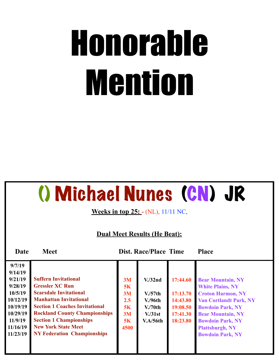# Honorable Mention

### () Michael Nunes (CN) JR

**Weeks in top 25: - (NL), 11/11 NC,** 

#### **Dual Meet Results (He Beat):**

| 9/7/19   |                                       |      |                      |          |                               |
|----------|---------------------------------------|------|----------------------|----------|-------------------------------|
| 9/14/19  |                                       |      |                      |          |                               |
| 9/21/19  | <b>Suffern Invitational</b>           | 3M   | V <sub>1</sub> /32nd | 17:44.60 | <b>Bear Mountain, NY</b>      |
| 9/28/19  | <b>Gressler XC Run</b>                | 5K   |                      |          | <b>White Plains, NY</b>       |
| 10/5/19  | <b>Scarsdale Invitational</b>         | 3M   | V <sub>1</sub> /57th | 17:13.70 | <b>Croton Harmon, NY</b>      |
| 10/12/19 | <b>Manhattan Invitational</b>         | 2.5  | V.96 <sup>th</sup>   | 14:43.80 | <b>Van Cortlandt Park, NY</b> |
| 10/19/19 | <b>Section 1 Coaches Invitational</b> | 5K   | V <sub>1</sub> /70th | 19:08.50 | <b>Bowdoin Park, NY</b>       |
| 10/29/19 | <b>Rockland County Championships</b>  | 3M   | V <sub>1</sub> /31st | 17:41.30 | <b>Bear Mountain, NY</b>      |
| 11/9/19  | <b>Section 1 Championships</b>        | 5K   | V.A/56th             | 18:23.80 | <b>Bowdoin Park, NY</b>       |
| 11/16/19 | <b>New York State Meet</b>            | 4500 |                      |          | <b>Plattsburgh, NY</b>        |
| 11/23/19 | <b>NY Federation Championships</b>    |      |                      |          | <b>Bowdoin Park, NY</b>       |
|          |                                       |      |                      |          |                               |
|          |                                       |      |                      |          |                               |
|          |                                       |      |                      |          |                               |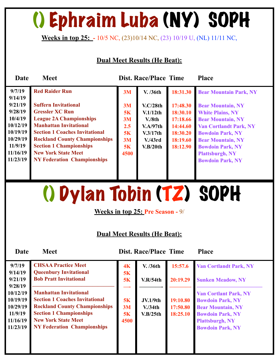# () Ephraim Luba (NY) SOPH

**Weeks in top 25: -** 10/5 NC, (23)10/14 NC, (23) 10/19 U, (NL) 11/11 NC,

#### **Dual Meet Results (He Beat):**

| Date     | <b>Meet</b>                           |      | <b>Dist. Race/Place Time</b> |          | <b>Place</b>                  |
|----------|---------------------------------------|------|------------------------------|----------|-------------------------------|
| 9/7/19   | <b>Red Raider Run</b>                 | 3M   | V. /36th                     | 18:31.30 | <b>Bear Mountain Park, NY</b> |
| 9/14/19  |                                       |      |                              |          |                               |
| 9/21/19  | <b>Suffern Invitational</b>           | 3M   | V.C/28th                     | 17:48.30 | <b>Bear Mountain, NY</b>      |
| 9/28/19  | <b>Gressler XC Run</b>                | 5K   | V.1/12th                     | 18:30.10 | <b>White Plains, NY</b>       |
| 10/4/19  | <b>League 2A Championships</b>        | 3M   | V.8th                        | 17:18.66 | <b>Bear Mountain, NY</b>      |
| 10/12/19 | <b>Manhattan Invitational</b>         | 2.5  | V.A/97th                     | 14:44.60 | <b>Van Cortlandt Park, NY</b> |
| 10/19/19 | <b>Section 1 Coaches Invitational</b> | 5K   | V.3/17th                     | 18:30.20 | <b>Bowdoin Park, NY</b>       |
| 10/29/19 | <b>Rockland County Championships</b>  | 3M   | V.43rd                       | 18:19.60 | <b>Bear Mountain, NY</b>      |
| 11/9/19  | <b>Section 1 Championships</b>        | 5K   | V.B/20th                     | 18:12.90 | <b>Bowdoin Park, NY</b>       |
| 11/16/19 | <b>New York State Meet</b>            | 4500 |                              |          | <b>Plattsburgh, NY</b>        |
| 11/23/19 | <b>NY Federation Championships</b>    |      |                              |          | <b>Bowdoin Park, NY</b>       |
|          |                                       |      |                              |          |                               |
|          |                                       |      |                              |          |                               |

() Dylan Tobin (TZ) SOPH

**Weeks in top 25: Pre Season -** 9/

#### **Dual Meet Results (He Beat):**

| 9/7/19<br>9/14/19   | <b>CHSAA Practice Meet</b><br><b>Queenbury Invitational</b> | 4 <sub>K</sub><br>5K | V. /36th             | 15:57.6  | <b>Van Cortlandt Park, NY</b> |
|---------------------|-------------------------------------------------------------|----------------------|----------------------|----------|-------------------------------|
| 9/21/19             | <b>Bob Pratt Invitational</b>                               | 5K                   | V.R/54th             | 20:19.29 | <b>Sunken Meadow, NY</b>      |
| 9/28/19<br>10/12/19 | <b>Manhattan Invitational</b>                               |                      |                      |          | <b>Van Cortlant Park, NY</b>  |
| 10/19/19            | <b>Section 1 Coaches Invitational</b>                       | 5K                   | <b>JV.1/9th</b>      | 19:10.80 | <b>Bowdoin Park, NY</b>       |
| 10/29/19            | <b>Rockland County Championships</b>                        | 3M                   | V <sub>1</sub> /34th | 17:50.80 | <b>Bear Mountain, NY</b>      |
| 11/9/19             | <b>Section 1 Championships</b>                              | 5K                   | V.B/25th             | 18:25.10 | <b>Bowdoin Park, NY</b>       |
| 11/16/19            | <b>New York State Meet</b>                                  | 4500                 |                      |          | <b>Plattsburgh, NY</b>        |
| 11/23/19            | <b>NY Federation Championships</b>                          |                      |                      |          | <b>Bowdoin Park, NY</b>       |
|                     |                                                             |                      |                      |          |                               |
|                     |                                                             |                      |                      |          |                               |
|                     |                                                             |                      |                      |          |                               |
|                     |                                                             |                      |                      |          |                               |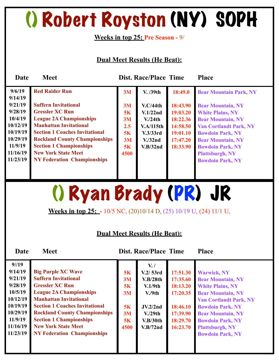### () Robert Royston (NY) SOPH

**Weeks in top 25: Pre Season -** 9/

#### **Dual Meet Results (He Beat):**

| Date     | <b>Meet</b>                           |      | <b>Dist. Race/Place Time</b> |          | <b>Place</b>                  |
|----------|---------------------------------------|------|------------------------------|----------|-------------------------------|
| 9/6/19   | <b>Red Raider Run</b>                 | 3M   | V. /39th                     | 18:49.0  | <b>Bear Mountain Park, NY</b> |
| 9/14/19  |                                       |      |                              |          |                               |
| 9/21/19  | <b>Suffern Invitational</b>           | 3M   | V.C/44th                     | 18:43.90 | <b>Bear Mountain, NY</b>      |
| 9/28/19  | <b>Gressler XC Run</b>                | 5K   | V.1/22nd                     | 19:03.20 | <b>White Plains, NY</b>       |
| 10/4/19  | <b>League 2A Championships</b>        | 3M   | V <sub>1</sub> /24th         | 18:22.36 | <b>Bear Mountain, NY</b>      |
| 10/12/19 | <b>Manhattan Invitational</b>         | 2.5  | V.A/115th                    | 14:58.50 | <b>Van Cortlandt Park, NY</b> |
| 10/19/19 | <b>Section 1 Coaches Invitational</b> | 5K   | V.3/33rd                     | 19:01.10 | <b>Bowdoin Park, NY</b>       |
| 10/29/19 | <b>Rockland County Championships</b>  | 3M   | V <sub>1</sub> /32nd         | 17:47.20 | <b>Bear Mountain, NY</b>      |
| 11/9/19  | <b>Section 1 Championships</b>        | 5K   | V.B/32nd                     | 18:33.90 | <b>Bowdoin Park, NY</b>       |
| 11/16/19 | <b>New York State Meet</b>            | 4500 |                              |          | <b>Plattsburgh, NY</b>        |
| 11/23/19 | <b>NY Federation Championships</b>    |      |                              |          | <b>Bowdoin Park, NY</b>       |
|          |                                       |      |                              |          |                               |
|          |                                       |      |                              |          |                               |

() Ryan Brady (PR) JR

**Weeks in top 25: -** 10/5 NC, (20)10/14 D, (25) 10/19 U, (24) 11/1 U,

#### **Dual Meet Results (He Beat):**

| $9^{1/19}$<br>9/14/19<br>9/21/19<br>9/28/19<br>10/5/19<br>10/12/19<br>10/19/19 | <b>Big Purple XC Wave</b><br><b>Suffern Invitational</b><br><b>Gressler XC Run</b><br><b>League 2A Championships</b><br><b>Manhattan Invitational</b><br><b>Section 1 Coaches Invitational</b> | 5K<br>3M<br>5K<br>3M<br>5K | $V_{\bullet}$ /<br>V.2/53rd<br>V.B/28th<br>V.1/9th<br>V <sub>0</sub> /9th<br>JV <sub>2</sub> /2nd | 17:51.30<br>17:35.60<br>18:13.20<br>17:20.35<br>18:46.10 | <b>Warwick, NY</b><br><b>Bear Mountain, NY</b><br><b>White Plains, NY</b><br><b>Bear Mountain, NY</b><br><b>Van Cortlandt Park, NY</b><br><b>Bowdoin Park, NY</b> |
|--------------------------------------------------------------------------------|------------------------------------------------------------------------------------------------------------------------------------------------------------------------------------------------|----------------------------|---------------------------------------------------------------------------------------------------|----------------------------------------------------------|-------------------------------------------------------------------------------------------------------------------------------------------------------------------|
| 10/29/19<br>11/9/19<br>11/16/19<br>11/23/19                                    | <b>Rockland County Championships</b><br><b>Section 1 Championships</b><br><b>New York State Meet</b><br><b>NY Federation Championships</b>                                                     | 3M<br>5K<br>4500           | V <sub>1</sub> /29th<br>V.B/30th<br>V.B/72nd                                                      | 17:39.90<br>18:29.70<br>16:23.70                         | <b>Bear Mountain, NY</b><br><b>Bowdoin Park, NY</b><br><b>Plattsburgh, NY</b><br><b>Bowdoin Park, NY</b>                                                          |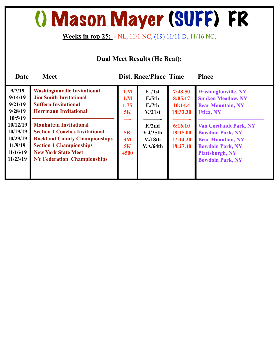### () Mason Mayer (SUFF) FR

#### **Weeks in top 25: -** NL, 11/1 NC, (19) 11/11 D, 11/16 NC,

#### **Dual Meet Results (He Beat):**

| <b>Date</b>                                                                                                               | <b>Meet</b>                                                                                                                                                                                                                                                                                                                                                 |                                                    | <b>Dist. Race/Place Time</b>                                                                                              |                                                                                          | <b>Place</b>                                                                                                                                                                                                                                                                   |
|---------------------------------------------------------------------------------------------------------------------------|-------------------------------------------------------------------------------------------------------------------------------------------------------------------------------------------------------------------------------------------------------------------------------------------------------------------------------------------------------------|----------------------------------------------------|---------------------------------------------------------------------------------------------------------------------------|------------------------------------------------------------------------------------------|--------------------------------------------------------------------------------------------------------------------------------------------------------------------------------------------------------------------------------------------------------------------------------|
| 9/7/19<br>9/14/19<br>9/21/19<br>9/28/19<br>10/5/19<br>10/12/19<br>10/19/19<br>10/29/19<br>11/9/19<br>11/16/19<br>11/23/19 | <b>Washingtonville Invitational</b><br><b>Jim Smith Invitational</b><br><b>Suffern Invitational</b><br><b>Herrmann Invitational</b><br><b>Manhattan Invitational</b><br><b>Section 1 Coaches Invitational</b><br><b>Rockland County Championships</b><br><b>Section 1 Championships</b><br><b>New York State Meet</b><br><b>NY Federation Championships</b> | 1.M<br>1.M<br>1.75<br>5K<br>5K<br>3M<br>5K<br>4500 | F. / 1st<br>F <sub>0</sub> /5th<br>F <sub>1</sub> /7th<br>V/21st<br>F <sub>1</sub> /2nd<br>V.4/35th<br>V/18th<br>V.A/64th | 7:48.50<br>8:05.17<br>10:14.4<br>18:33.30<br>6:16.10<br>18:15.00<br>17:14.20<br>18:27.40 | <b>Washingtonville, NY</b><br><b>Sunken Meadow, NY</b><br><b>Bear Mountain, NY</b><br><b>Utica, NY</b><br><b>Van Cortlandt Park, NY</b><br><b>Bowdoin Park, NY</b><br><b>Bear Mountain, NY</b><br><b>Bowdoin Park, NY</b><br><b>Plattsburgh, NY</b><br><b>Bowdoin Park, NY</b> |
|                                                                                                                           |                                                                                                                                                                                                                                                                                                                                                             |                                                    |                                                                                                                           |                                                                                          |                                                                                                                                                                                                                                                                                |